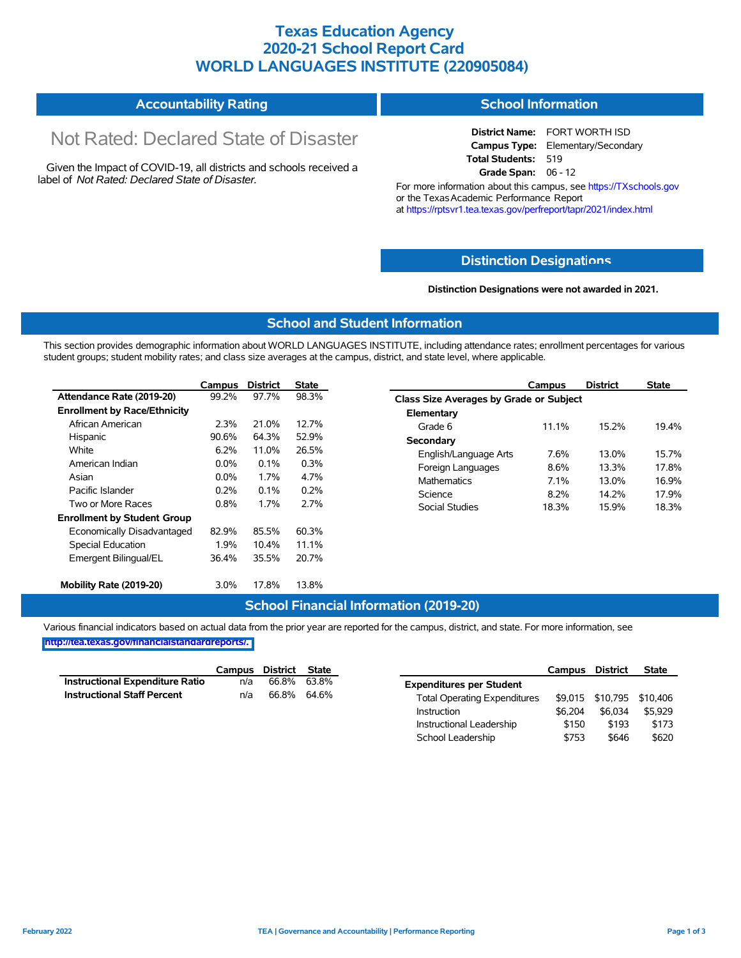## **Texas Education Agency 2020-21 School Report Card WORLD LANGUAGES INSTITUTE (220905084)**

#### **Accountability Rating School Information**

# Not Rated: Declared State of Disaster

Given the Impact of COVID-19, all districts and schools received a label of *Not Rated: Declared State of Disaster.*

**District Name:** FORT WORTH ISD **Campus Type:** Elementary/Secondary **Total Students:** 519 **Grade Span:** 06 - 12

For more information about this campus, see https://TXschools.gov or the Texas Academic Performance Report at https://rptsvr1.tea.texas.gov/perfreport/tapr/2021/index.html

#### **Distinction Designat[ions](https://TXschools.gov)**

**Distinction Designations were not awarded in 2021.**

School Leadership  $$753$  \$646 \$620

#### **School and Student Information**

This section provides demographic information about WORLD LANGUAGES INSTITUTE, including attendance rates; enrollment percentages for various student groups; student mobility rates; and class size averages at the campus, district, and state level, where applicable.

|                                     | Campus  | <b>District</b> | <b>State</b> |                       | Campus                                  | <b>District</b> | <b>State</b> |  |  |
|-------------------------------------|---------|-----------------|--------------|-----------------------|-----------------------------------------|-----------------|--------------|--|--|
| Attendance Rate (2019-20)           | 99.2%   | 97.7%           | 98.3%        |                       | Class Size Averages by Grade or Subject |                 |              |  |  |
| <b>Enrollment by Race/Ethnicity</b> |         |                 |              | Elementary            |                                         |                 |              |  |  |
| African American                    | 2.3%    | 21.0%           | 12.7%        | Grade 6               | 11.1%                                   | 15.2%           | 19.4%        |  |  |
| Hispanic                            | 90.6%   | 64.3%           | 52.9%        | Secondary             |                                         |                 |              |  |  |
| White                               | 6.2%    | 11.0%           | 26.5%        | English/Language Arts | 7.6%                                    | 13.0%           | 15.7%        |  |  |
| American Indian                     | $0.0\%$ | 0.1%            | 0.3%         | Foreign Languages     | 8.6%                                    | 13.3%           | 17.8%        |  |  |
| Asian                               | 0.0%    | 1.7%            | 4.7%         | <b>Mathematics</b>    | 7.1%                                    | 13.0%           | 16.9%        |  |  |
| Pacific Islander                    | 0.2%    | 0.1%            | 0.2%         | Science               | 8.2%                                    | 14.2%           | 17.9%        |  |  |
| Two or More Races                   | 0.8%    | 1.7%            | 2.7%         | Social Studies        | 18.3%                                   | 15.9%           | 18.3%        |  |  |
| <b>Enrollment by Student Group</b>  |         |                 |              |                       |                                         |                 |              |  |  |
| Economically Disadvantaged          | 82.9%   | 85.5%           | 60.3%        |                       |                                         |                 |              |  |  |
| Special Education                   | 1.9%    | 10.4%           | 11.1%        |                       |                                         |                 |              |  |  |
| Emergent Bilingual/EL               | 36.4%   | 35.5%           | 20.7%        |                       |                                         |                 |              |  |  |
| Mobility Rate (2019-20)             | 3.0%    | 17.8%           | 13.8%        |                       |                                         |                 |              |  |  |

#### **School Financial Information (2019-20)**

Various financial indicators based on actual data from the prior year are reported for the campus, district, and state. For more information, see

**[http://tea.texas.gov/financialstandardreports/.](http://tea.texas.gov/financialstandardreports/)**

|                                        | Campus | <b>District</b> | <b>State</b> |                                     | Campus  | <b>District</b>           | <b>State</b> |
|----------------------------------------|--------|-----------------|--------------|-------------------------------------|---------|---------------------------|--------------|
| <b>Instructional Expenditure Ratio</b> | n/a    | 66.8%           | 63.8%        | <b>Expenditures per Student</b>     |         |                           |              |
| <b>Instructional Staff Percent</b>     | n/a    | 66.8%           | 64.6%        | <b>Total Operating Expenditures</b> |         | \$9.015 \$10.795 \$10.406 |              |
|                                        |        |                 |              | Instruction                         | \$6.204 | \$6.034                   | \$5,929      |
|                                        |        |                 |              | Instructional Leadership            | \$150   | \$193                     | \$173        |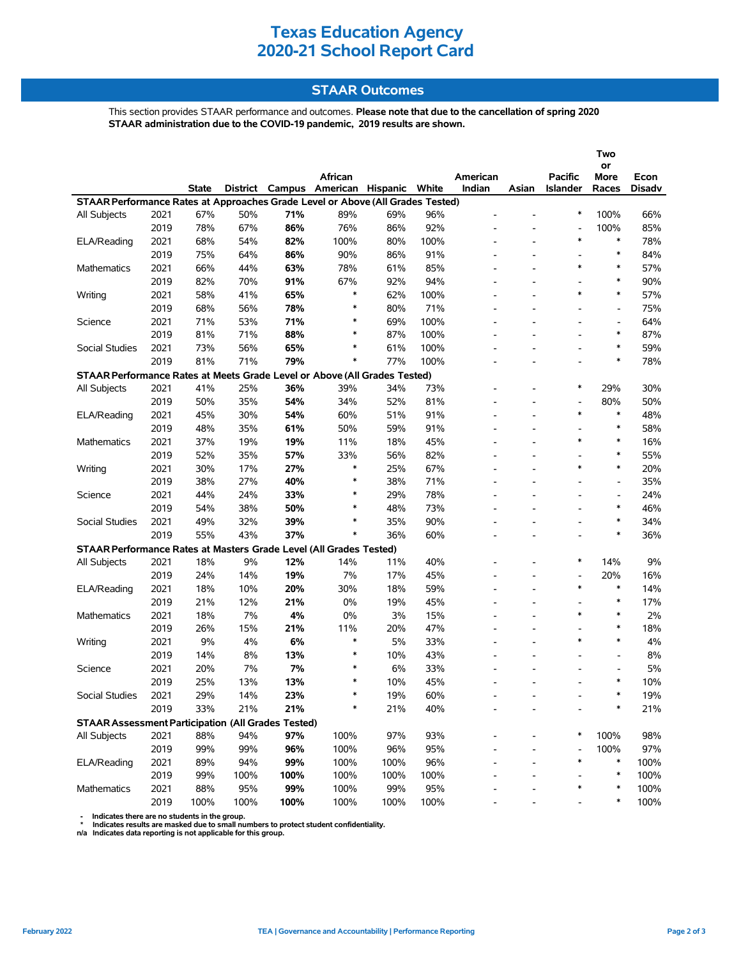# **Texas Education Agency 2020-21 School Report Card**

#### **STAAR Outcomes**

This section provides STAAR performance and outcomes. **Please note that due to the cancellation of spring 2020 STAAR administration due to the COVID-19 pandemic, 2019 results are shown.**

|                                                                                |      |       |          |      |                          |      |       |                          |                          |                          | Two                          |               |  |
|--------------------------------------------------------------------------------|------|-------|----------|------|--------------------------|------|-------|--------------------------|--------------------------|--------------------------|------------------------------|---------------|--|
|                                                                                |      |       |          |      | African                  |      |       | American                 |                          | Pacific                  | or<br>More                   | Econ          |  |
|                                                                                |      | State | District |      | Campus American Hispanic |      | White | Indian                   | Asian                    | Islander                 | Races                        | <b>Disadv</b> |  |
| STAAR Performance Rates at Approaches Grade Level or Above (All Grades Tested) |      |       |          |      |                          |      |       |                          |                          |                          |                              |               |  |
| All Subjects                                                                   | 2021 | 67%   | 50%      | 71%  | 89%                      | 69%  | 96%   |                          |                          | $\ast$                   | 100%                         | 66%           |  |
|                                                                                | 2019 | 78%   | 67%      | 86%  | 76%                      | 86%  | 92%   |                          |                          |                          | 100%                         | 85%           |  |
| ELA/Reading                                                                    | 2021 | 68%   | 54%      | 82%  | 100%                     | 80%  | 100%  |                          |                          | $\ast$                   | $\ast$                       | 78%           |  |
|                                                                                | 2019 | 75%   | 64%      | 86%  | 90%                      | 86%  | 91%   |                          | $\overline{\phantom{a}}$ | $\overline{\phantom{a}}$ | ∗                            | 84%           |  |
| <b>Mathematics</b>                                                             | 2021 | 66%   | 44%      | 63%  | 78%                      | 61%  | 85%   |                          |                          | $\ast$                   | $\ast$                       | 57%           |  |
|                                                                                | 2019 | 82%   | 70%      | 91%  | 67%                      | 92%  | 94%   |                          |                          |                          | $\ast$                       | 90%           |  |
| Writing                                                                        | 2021 | 58%   | 41%      | 65%  | $\ast$                   | 62%  | 100%  |                          | $\overline{\phantom{a}}$ | $\ast$                   | $\ast$                       | 57%           |  |
|                                                                                | 2019 | 68%   | 56%      | 78%  | $\ast$                   | 80%  | 71%   |                          |                          |                          | $\qquad \qquad \blacksquare$ | 75%           |  |
| Science                                                                        | 2021 | 71%   | 53%      | 71%  | $\ast$                   | 69%  | 100%  |                          |                          |                          | $\frac{1}{2}$                | 64%           |  |
|                                                                                | 2019 | 81%   | 71%      | 88%  | $\ast$                   | 87%  | 100%  | $\overline{\phantom{a}}$ | $\overline{\phantom{a}}$ | ۰                        | $\ast$                       | 87%           |  |
| Social Studies                                                                 | 2021 | 73%   | 56%      | 65%  | ∗                        | 61%  | 100%  |                          |                          |                          | $\ast$                       | 59%           |  |
|                                                                                | 2019 | 81%   | 71%      | 79%  | $\ast$                   | 77%  | 100%  |                          |                          |                          | $\ast$                       | 78%           |  |
| STAAR Performance Rates at Meets Grade Level or Above (All Grades Tested)      |      |       |          |      |                          |      |       |                          |                          |                          |                              |               |  |
| All Subjects                                                                   | 2021 | 41%   | 25%      | 36%  | 39%                      | 34%  | 73%   |                          |                          | $\ast$                   | 29%                          | 30%           |  |
|                                                                                | 2019 | 50%   | 35%      | 54%  | 34%                      | 52%  | 81%   |                          |                          | $\overline{\phantom{a}}$ | 80%                          | 50%           |  |
| ELA/Reading                                                                    | 2021 | 45%   | 30%      | 54%  | 60%                      | 51%  | 91%   |                          | ٠                        | $\ast$                   | $\ast$                       | 48%           |  |
|                                                                                | 2019 | 48%   | 35%      | 61%  | 50%                      | 59%  | 91%   |                          |                          | $\overline{\phantom{0}}$ | $\ast$                       | 58%           |  |
| <b>Mathematics</b>                                                             | 2021 | 37%   | 19%      | 19%  | 11%                      | 18%  | 45%   |                          |                          | $\ast$                   | $\ast$                       | 16%           |  |
|                                                                                | 2019 | 52%   | 35%      | 57%  | 33%                      | 56%  | 82%   |                          |                          | ۰                        | $\ast$                       | 55%           |  |
| Writing                                                                        | 2021 | 30%   | 17%      | 27%  | $\ast$                   | 25%  | 67%   |                          |                          | $\ast$                   | $\ast$                       | 20%           |  |
|                                                                                | 2019 | 38%   | 27%      | 40%  | $\ast$                   | 38%  | 71%   |                          |                          |                          | $\overline{\phantom{a}}$     | 35%           |  |
| Science                                                                        | 2021 | 44%   | 24%      | 33%  | $\ast$                   | 29%  | 78%   |                          |                          |                          | $\overline{\phantom{a}}$     | 24%           |  |
|                                                                                | 2019 | 54%   | 38%      | 50%  | $\ast$                   | 48%  | 73%   |                          | $\overline{a}$           |                          | ∗                            | 46%           |  |
| Social Studies                                                                 | 2021 | 49%   | 32%      | 39%  | $\ast$                   | 35%  | 90%   |                          |                          |                          | $\ast$                       | 34%           |  |
|                                                                                | 2019 | 55%   | 43%      | 37%  | $\ast$                   | 36%  | 60%   |                          |                          |                          | $\ast$                       | 36%           |  |
| STAAR Performance Rates at Masters Grade Level (All Grades Tested)             |      |       |          |      |                          |      |       |                          |                          |                          |                              |               |  |
| All Subjects                                                                   | 2021 | 18%   | 9%       | 12%  | 14%                      | 11%  | 40%   |                          |                          | ∗                        | 14%                          | 9%            |  |
|                                                                                | 2019 | 24%   | 14%      | 19%  | 7%                       | 17%  | 45%   |                          |                          | $\overline{\phantom{a}}$ | 20%                          | 16%           |  |
| ELA/Reading                                                                    | 2021 | 18%   | 10%      | 20%  | 30%                      | 18%  | 59%   |                          | $\overline{\phantom{a}}$ | $\ast$                   | $\ast$                       | 14%           |  |
|                                                                                | 2019 | 21%   | 12%      | 21%  | 0%                       | 19%  | 45%   |                          |                          | $\overline{\phantom{0}}$ | $\ast$                       | 17%           |  |
| Mathematics                                                                    | 2021 | 18%   | 7%       | 4%   | 0%                       | 3%   | 15%   |                          |                          | $\ast$                   | $\ast$                       | 2%            |  |
|                                                                                | 2019 | 26%   | 15%      | 21%  | 11%                      | 20%  | 47%   |                          | $\overline{\phantom{a}}$ |                          | $\ast$                       | 18%           |  |
| Writing                                                                        | 2021 | 9%    | 4%       | 6%   | $\ast$                   | 5%   | 33%   |                          |                          | $\ast$                   | $\ast$                       | 4%            |  |
|                                                                                | 2019 | 14%   | 8%       | 13%  | $\ast$                   | 10%  | 43%   |                          |                          |                          |                              | 8%            |  |
| Science                                                                        | 2021 | 20%   | 7%       | 7%   | $\ast$                   | 6%   | 33%   |                          | $\overline{\phantom{a}}$ |                          | $\overline{\phantom{a}}$     | 5%            |  |
|                                                                                | 2019 | 25%   | 13%      | 13%  | $\ast$                   | 10%  | 45%   |                          |                          |                          | $\ast$                       | 10%           |  |
| Social Studies                                                                 | 2021 | 29%   | 14%      | 23%  |                          | 19%  | 60%   |                          |                          |                          |                              | 19%           |  |
|                                                                                | 2019 | 33%   | 21%      | 21%  | $\ast$                   | 21%  | 40%   |                          |                          |                          | ∗                            | 21%           |  |
| <b>STAAR Assessment Participation (All Grades Tested)</b>                      |      |       |          |      |                          |      |       |                          |                          |                          |                              |               |  |
| All Subjects                                                                   | 2021 | 88%   | 94%      | 97%  | 100%                     | 97%  | 93%   |                          |                          | $\ast$                   | 100%                         | 98%           |  |
|                                                                                | 2019 | 99%   | 99%      | 96%  | 100%                     | 96%  | 95%   |                          |                          |                          | 100%                         | 97%           |  |
| ELA/Reading                                                                    | 2021 | 89%   | 94%      | 99%  | 100%                     | 100% | 96%   |                          |                          | ∗                        | ∗                            | 100%          |  |
|                                                                                | 2019 | 99%   | 100%     | 100% | 100%                     | 100% | 100%  |                          |                          |                          | ∗                            | 100%          |  |
| Mathematics                                                                    | 2021 | 88%   | 95%      | 99%  | 100%                     | 99%  | 95%   |                          |                          | ∗                        | $\ast$                       | 100%          |  |
|                                                                                | 2019 | 100%  | 100%     | 100% | 100%                     | 100% | 100%  |                          |                          |                          | ∗                            | 100%          |  |
|                                                                                |      |       |          |      |                          |      |       |                          |                          |                          |                              |               |  |

- Indicates there are no students in the group.<br>\* Indicates results are masked due to small numbers to protect student confidentiality.<br>n/a Indicates data reporting is not applicable for this group.